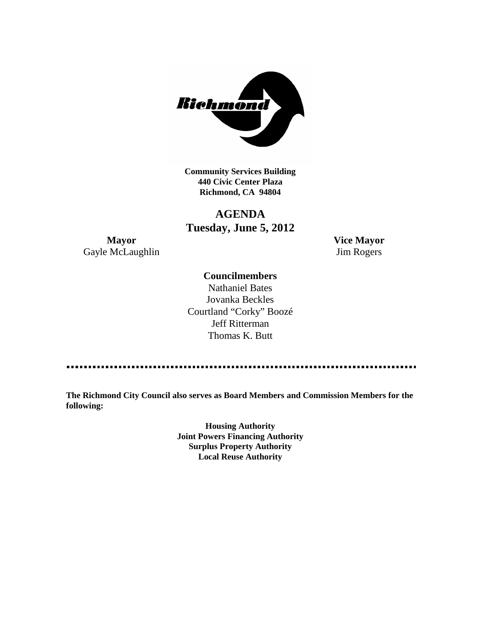

**Community Services Building 440 Civic Center Plaza Richmond, CA 94804**

# **AGENDA Tuesday, June 5, 2012**

**Mayor Vice Mayor** Gayle McLaughlin Jim Rogers

# **Councilmembers**

Nathaniel Bates Jovanka Beckles Courtland "Corky" Boozé Jeff Ritterman Thomas K. Butt

**The Richmond City Council also serves as Board Members and Commission Members for the following:**

> **Housing Authority Joint Powers Financing Authority Surplus Property Authority Local Reuse Authority**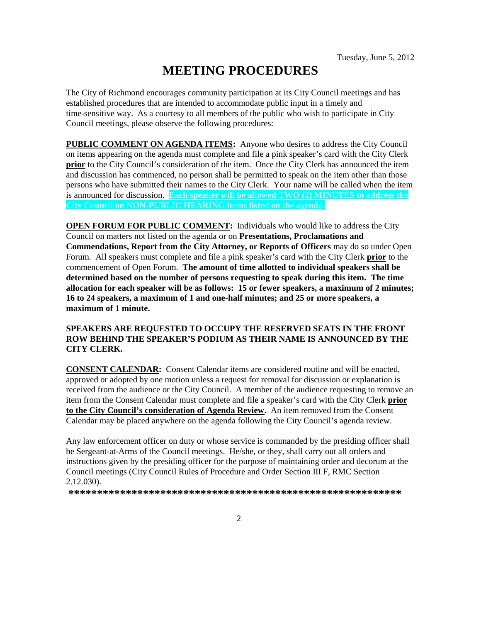# **MEETING PROCEDURES**

The City of Richmond encourages community participation at its City Council meetings and has established procedures that are intended to accommodate public input in a timely and time-sensitive way. As a courtesy to all members of the public who wish to participate in City Council meetings, please observe the following procedures:

**PUBLIC COMMENT ON AGENDA ITEMS:** Anyone who desires to address the City Council on items appearing on the agenda must complete and file a pink speaker's card with the City Clerk **prior** to the City Council's consideration of the item. Once the City Clerk has announced the item and discussion has commenced, no person shall be permitted to speak on the item other than those persons who have submitted their names to the City Clerk. Your name will be called when the item is announced for discussion. **Each speaker will be allowed TWO (2) MINUTES to address the City Council on NON-PUBLIC HEARING items listed on the agenda.**

**OPEN FORUM FOR PUBLIC COMMENT:** Individuals who would like to address the City Council on matters not listed on the agenda or on **Presentations, Proclamations and Commendations, Report from the City Attorney, or Reports of Officers** may do so under Open Forum. All speakers must complete and file a pink speaker's card with the City Clerk **prior** to the commencement of Open Forum. **The amount of time allotted to individual speakers shall be determined based on the number of persons requesting to speak during this item. The time allocation for each speaker will be as follows: 15 or fewer speakers, a maximum of 2 minutes; 16 to 24 speakers, a maximum of 1 and one-half minutes; and 25 or more speakers, a maximum of 1 minute.**

#### **SPEAKERS ARE REQUESTED TO OCCUPY THE RESERVED SEATS IN THE FRONT ROW BEHIND THE SPEAKER'S PODIUM AS THEIR NAME IS ANNOUNCED BY THE CITY CLERK.**

**CONSENT CALENDAR:** Consent Calendar items are considered routine and will be enacted, approved or adopted by one motion unless a request for removal for discussion or explanation is received from the audience or the City Council. A member of the audience requesting to remove an item from the Consent Calendar must complete and file a speaker's card with the City Clerk **prior to the City Council's consideration of Agenda Review.** An item removed from the Consent Calendar may be placed anywhere on the agenda following the City Council's agenda review.

Any law enforcement officer on duty or whose service is commanded by the presiding officer shall be Sergeant-at-Arms of the Council meetings. He/she, or they, shall carry out all orders and instructions given by the presiding officer for the purpose of maintaining order and decorum at the Council meetings (City Council Rules of Procedure and Order Section III F, RMC Section 2.12.030).

**\*\*\*\*\*\*\*\*\*\*\*\*\*\*\*\*\*\*\*\*\*\*\*\*\*\*\*\*\*\*\*\*\*\*\*\*\*\*\*\*\*\*\*\*\*\*\*\*\*\*\*\*\*\*\*\*\*\***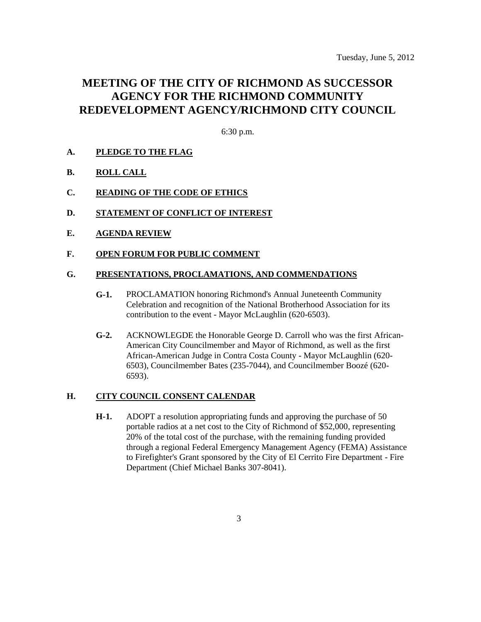# **MEETING OF THE CITY OF RICHMOND AS SUCCESSOR AGENCY FOR THE RICHMOND COMMUNITY REDEVELOPMENT AGENCY/RICHMOND CITY COUNCIL**

6:30 p.m.

### **A. PLEDGE TO THE FLAG**

- **B. ROLL CALL**
- **C. READING OF THE CODE OF ETHICS**
- **D. STATEMENT OF CONFLICT OF INTEREST**
- **E. AGENDA REVIEW**

#### **F. OPEN FORUM FOR PUBLIC COMMENT**

#### **G. PRESENTATIONS, PROCLAMATIONS, AND COMMENDATIONS**

- **G-1.** PROCLAMATION honoring Richmond's Annual Juneteenth Community Celebration and recognition of the National Brotherhood Association for its contribution to the event - Mayor McLaughlin (620-6503).
- **G-2.** ACKNOWLEGDE the Honorable George D. Carroll who was the first African-American City Councilmember and Mayor of Richmond, as well as the first African-American Judge in Contra Costa County - Mayor McLaughlin (620- 6503), Councilmember Bates (235-7044), and Councilmember Boozé (620- 6593).

#### **H. CITY COUNCIL CONSENT CALENDAR**

**H-1.** ADOPT a resolution appropriating funds and approving the purchase of 50 portable radios at a net cost to the City of Richmond of \$52,000, representing 20% of the total cost of the purchase, with the remaining funding provided through a regional Federal Emergency Management Agency (FEMA) Assistance to Firefighter's Grant sponsored by the City of El Cerrito Fire Department - Fire Department (Chief Michael Banks 307-8041).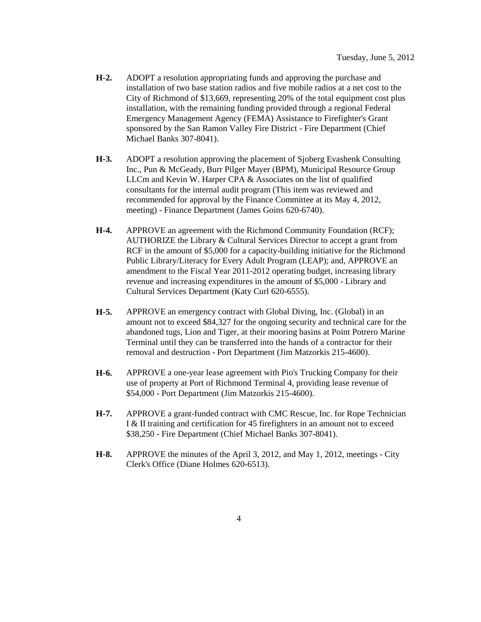- **H-2.** ADOPT a resolution appropriating funds and approving the purchase and installation of two base station radios and five mobile radios at a net cost to the City of Richmond of \$13,669, representing 20% of the total equipment cost plus installation, with the remaining funding provided through a regional Federal Emergency Management Agency (FEMA) Assistance to Firefighter's Grant sponsored by the San Ramon Valley Fire District - Fire Department (Chief Michael Banks 307-8041).
- **H-3.** ADOPT a resolution approving the placement of Sjoberg Evashenk Consulting Inc., Pun & McGeady, Burr Pilger Mayer (BPM), Municipal Resource Group LLCm and Kevin W. Harper CPA & Associates on the list of qualified consultants for the internal audit program (This item was reviewed and recommended for approval by the Finance Committee at its May 4, 2012, meeting) - Finance Department (James Goins 620-6740).
- **H-4.** APPROVE an agreement with the Richmond Community Foundation (RCF); AUTHORIZE the Library & Cultural Services Director to accept a grant from RCF in the amount of \$5,000 for a capacity-building initiative for the Richmond Public Library/Literacy for Every Adult Program (LEAP); and, APPROVE an amendment to the Fiscal Year 2011-2012 operating budget, increasing library revenue and increasing expenditures in the amount of \$5,000 - Library and Cultural Services Department (Katy Curl 620-6555).
- **H-5.** APPROVE an emergency contract with Global Diving, Inc. (Global) in an amount not to exceed \$84,327 for the ongoing security and technical care for the abandoned tugs, Lion and Tiger, at their mooring basins at Point Potrero Marine Terminal until they can be transferred into the hands of a contractor for their removal and destruction - Port Department (Jim Matzorkis 215-4600).
- **H-6.** APPROVE a one-year lease agreement with Pio's Trucking Company for their use of property at Port of Richmond Terminal 4, providing lease revenue of \$54,000 - Port Department (Jim Matzorkis 215-4600).
- **H-7.** APPROVE a grant-funded contract with CMC Rescue, Inc. for Rope Technician I & II training and certification for 45 firefighters in an amount not to exceed \$38,250 - Fire Department (Chief Michael Banks 307-8041).
- **H-8.** APPROVE the minutes of the April 3, 2012, and May 1, 2012, meetings City Clerk's Office (Diane Holmes 620-6513).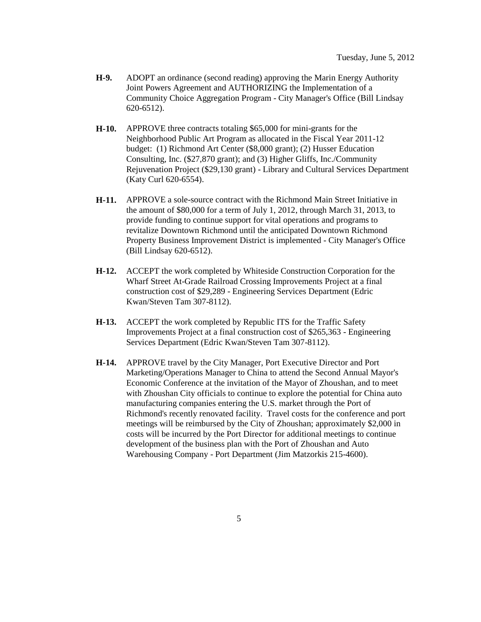- **H-9.** ADOPT an ordinance (second reading) approving the Marin Energy Authority Joint Powers Agreement and AUTHORIZING the Implementation of a Community Choice Aggregation Program - City Manager's Office (Bill Lindsay 620-6512).
- **H-10.** APPROVE three contracts totaling \$65,000 for mini-grants for the Neighborhood Public Art Program as allocated in the Fiscal Year 2011-12 budget: (1) Richmond Art Center (\$8,000 grant); (2) Husser Education Consulting, Inc. (\$27,870 grant); and (3) Higher Gliffs, Inc./Community Rejuvenation Project (\$29,130 grant) - Library and Cultural Services Department (Katy Curl 620-6554).
- **H-11.** APPROVE a sole-source contract with the Richmond Main Street Initiative in the amount of \$80,000 for a term of July 1, 2012, through March 31, 2013, to provide funding to continue support for vital operations and programs to revitalize Downtown Richmond until the anticipated Downtown Richmond Property Business Improvement District is implemented - City Manager's Office (Bill Lindsay 620-6512).
- **H-12.** ACCEPT the work completed by Whiteside Construction Corporation for the Wharf Street At-Grade Railroad Crossing Improvements Project at a final construction cost of \$29,289 - Engineering Services Department (Edric Kwan/Steven Tam 307-8112).
- **H-13.** ACCEPT the work completed by Republic ITS for the Traffic Safety Improvements Project at a final construction cost of \$265,363 - Engineering Services Department (Edric Kwan/Steven Tam 307-8112).
- **H-14.** APPROVE travel by the City Manager, Port Executive Director and Port Marketing/Operations Manager to China to attend the Second Annual Mayor's Economic Conference at the invitation of the Mayor of Zhoushan, and to meet with Zhoushan City officials to continue to explore the potential for China auto manufacturing companies entering the U.S. market through the Port of Richmond's recently renovated facility. Travel costs for the conference and port meetings will be reimbursed by the City of Zhoushan; approximately \$2,000 in costs will be incurred by the Port Director for additional meetings to continue development of the business plan with the Port of Zhoushan and Auto Warehousing Company - Port Department (Jim Matzorkis 215-4600).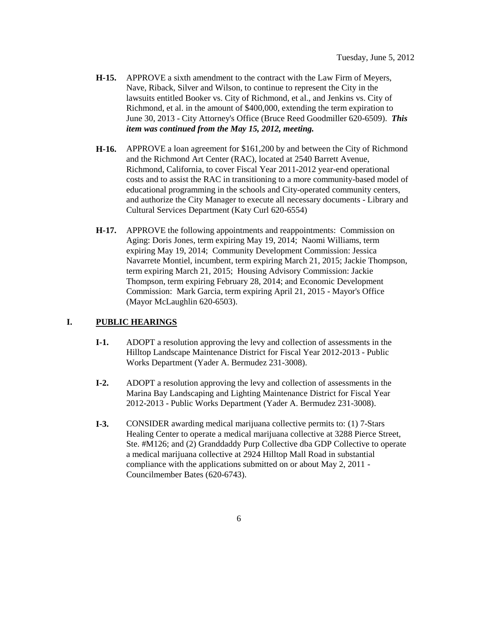- **H-15.** APPROVE a sixth amendment to the contract with the Law Firm of Meyers, Nave, Riback, Silver and Wilson, to continue to represent the City in the lawsuits entitled Booker vs. City of Richmond, et al., and Jenkins vs. City of Richmond, et al. in the amount of \$400,000, extending the term expiration to June 30, 2013 - City Attorney's Office (Bruce Reed Goodmiller 620-6509). *This item was continued from the May 15, 2012, meeting.*
- **H-16.** APPROVE a loan agreement for \$161,200 by and between the City of Richmond and the Richmond Art Center (RAC), located at 2540 Barrett Avenue, Richmond, California, to cover Fiscal Year 2011-2012 year-end operational costs and to assist the RAC in transitioning to a more community-based model of educational programming in the schools and City-operated community centers, and authorize the City Manager to execute all necessary documents - Library and Cultural Services Department (Katy Curl 620-6554)
- **H-17.** APPROVE the following appointments and reappointments: Commission on Aging: Doris Jones, term expiring May 19, 2014; Naomi Williams, term expiring May 19, 2014; Community Development Commission: Jessica Navarrete Montiel, incumbent, term expiring March 21, 2015; Jackie Thompson, term expiring March 21, 2015; Housing Advisory Commission: Jackie Thompson, term expiring February 28, 2014; and Economic Development Commission: Mark Garcia, term expiring April 21, 2015 - Mayor's Office (Mayor McLaughlin 620-6503).

## **I. PUBLIC HEARINGS**

- **I-1.** ADOPT a resolution approving the levy and collection of assessments in the Hilltop Landscape Maintenance District for Fiscal Year 2012-2013 - Public Works Department (Yader A. Bermudez 231-3008).
- **I-2.** ADOPT a resolution approving the levy and collection of assessments in the Marina Bay Landscaping and Lighting Maintenance District for Fiscal Year 2012-2013 - Public Works Department (Yader A. Bermudez 231-3008).
- **I-3.** CONSIDER awarding medical marijuana collective permits to: (1) 7-Stars Healing Center to operate a medical marijuana collective at 3288 Pierce Street, Ste. #M126; and (2) Granddaddy Purp Collective dba GDP Collective to operate a medical marijuana collective at 2924 Hilltop Mall Road in substantial compliance with the applications submitted on or about May 2, 2011 - Councilmember Bates (620-6743).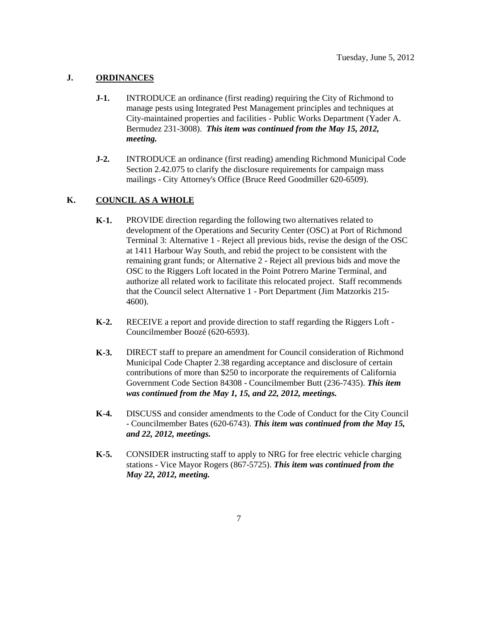## **J. ORDINANCES**

- **J-1.** INTRODUCE an ordinance (first reading) requiring the City of Richmond to manage pests using Integrated Pest Management principles and techniques at City-maintained properties and facilities - Public Works Department (Yader A. Bermudez 231-3008). *This item was continued from the May 15, 2012, meeting.*
- **J-2.** INTRODUCE an ordinance (first reading) amending Richmond Municipal Code Section 2.42.075 to clarify the disclosure requirements for campaign mass mailings - City Attorney's Office (Bruce Reed Goodmiller 620-6509).

## **K. COUNCIL AS A WHOLE**

- **K-1.** PROVIDE direction regarding the following two alternatives related to development of the Operations and Security Center (OSC) at Port of Richmond Terminal 3: Alternative 1 - Reject all previous bids, revise the design of the OSC at 1411 Harbour Way South, and rebid the project to be consistent with the remaining grant funds; or Alternative 2 - Reject all previous bids and move the OSC to the Riggers Loft located in the Point Potrero Marine Terminal, and authorize all related work to facilitate this relocated project. Staff recommends that the Council select Alternative 1 - Port Department (Jim Matzorkis 215- 4600).
- **K-2.** RECEIVE a report and provide direction to staff regarding the Riggers Loft Councilmember Boozé (620-6593).
- **K-3.** DIRECT staff to prepare an amendment for Council consideration of Richmond Municipal Code Chapter 2.38 regarding acceptance and disclosure of certain contributions of more than \$250 to incorporate the requirements of California Government Code Section 84308 - Councilmember Butt (236-7435). *This item was continued from the May 1, 15, and 22, 2012, meetings.*
- **K-4.** DISCUSS and consider amendments to the Code of Conduct for the City Council - Councilmember Bates (620-6743). *This item was continued from the May 15, and 22, 2012, meetings.*
- **K-5.** CONSIDER instructing staff to apply to NRG for free electric vehicle charging stations - Vice Mayor Rogers (867-5725). *This item was continued from the May 22, 2012, meeting.*